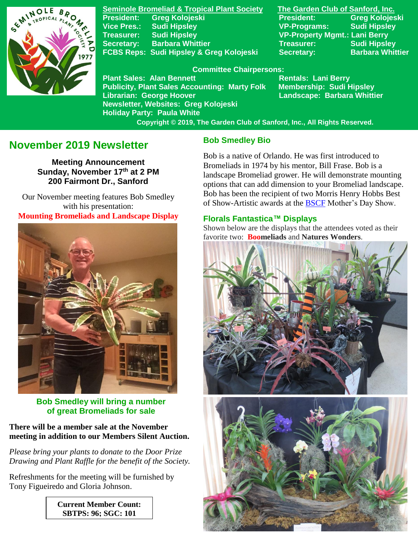

**Seminole Bromeliad & Tropical Plant Society The Garden Club of Sanford, Inc. President: Greg Kolojeski President: Greg Kolojeski Vice Pres.: Sudi Hipsley VP-Programs: Sudi Hipsley Treasurer: Sudi Hipsley VP-Property Mgmt.: Lani Berry Secretary:** Barbara Whittier **Network Treasurer:** Sudi Hipsley **FCBS Reps: Sudi Hipsley & Greg Kolojeski Secretary: Barbara Whittier** 

#### **Committee Chairpersons:**

**Plant Sales: Alan Bennett** Rentals: Lani Berry **Publicity, Plant Sales Accounting: Marty Folk Membership: Sudi Hipsley Librarian: George Hoover Landscape: Barbara Whittier Newsletter, Websites: Greg Kolojeski Holiday Party: Paula White** 

 **Copyright © 2019, The Garden Club of Sanford, Inc., All Rights Reserved.**

# **November 2019 Newsletter**

**Meeting Announcement Sunday, November 17th at 2 PM 200 Fairmont Dr., Sanford**

 Our November meeting features Bob Smedley with his presentation: **Mounting Bromeliads and Landscape Display**



## **Bob Smedley will bring a number of great Bromeliads for sale**

**There will be a member sale at the November meeting in addition to our Members Silent Auction.**

*Please bring your plants to donate to the Door Prize Drawing and Plant Raffle for the benefit of the Society.*

Refreshments for the meeting will be furnished by Tony Figueiredo and Gloria Johnson.

> **Current Member Count: SBTPS: 96; SGC: 101**

## **Bob Smedley Bio**

Bob is a native of Orlando. He was first introduced to Bromeliads in 1974 by his mentor, Bill Frase. Bob is a landscape Bromeliad grower. He will demonstrate mounting options that can add dimension to your Bromeliad landscape. Bob has been the recipient of two Morris Henry Hobbs Best of Show-Artistic awards at the [BSCF](https://www.bromeliadsorlando.com/) Mother's Day Show.

### **Florals Fantastica™ Displays**

Shown below are the displays that the attendees voted as their favorite two: **Boomeliads** and **Natures Wonders**.